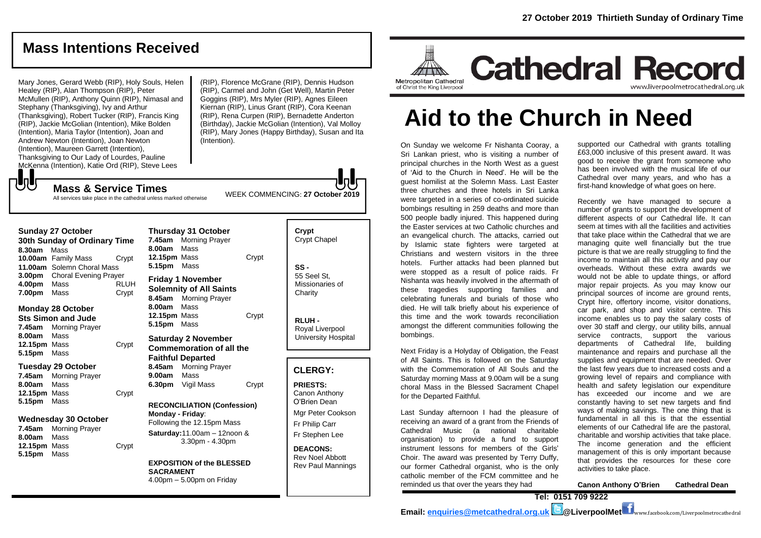# **Mass Intentions Received**

Mary Jones, Gerard Webb (RIP), Holy Souls, Helen Healey (RIP), Alan Thompson (RIP), Peter McMullen (RIP), Anthony Quinn (RIP), Nimasal and Stephany (Thanksgiving), Ivy and Arthur (Thanksgiving), Robert Tucker (RIP), Francis King (RIP), Jackie McGolian (Intention), Mike Bolden (Intention), Maria Taylor (Intention), Joan and Andrew Newton (Intention), Joan Newton (Intention), Maureen Garrett (Intention), Thanksgiving to Our Lady of Lourdes, Pauline McKenna (Intention), Katie Ord (RIP), Steve Lees

(RIP), Florence McGrane (RIP), Dennis Hudson (RIP), Carmel and John (Get Well), Martin Peter Goggins (RIP), Mrs Myler (RIP), Agnes Eileen Kiernan (RIP), Linus Grant (RIP), Cora Keenan (RIP), Rena Curpen (RIP), Bernadette Anderton (Birthday), Jackie McGolian (Intention), Val Molloy (RIP), Mary Jones (Happy Birthday), Susan and Ita (Intention).

WEEK COMMENCING: **27 October 2019**

**Mass & Service Times** All services take place in the cathedral unless marked otherwise

#### **Sunday 27 October**

でし

**30th Sunday of Ordinary Time 8.30am** Mass **10.00am** Family Mass Crypt **11.00am** Solemn Choral Mass **3.00pm** Choral Evening Prayer **4.00pm** Mass RLUH **7.00pm** Mass Crypt

#### **Monday 28 October Sts Simon and Jude**

**7.45am** Morning Prayer **8.00am** Mass **12.15pm** Mass Crypt **5.15pm** Mass

#### **Tuesday 29 October**

**7.45am** Morning Prayer **8.00am** Mass **12.15pm** Mass Crypt **5.15pm** Mass

#### **Wednesday 30 October**

**7.45am** Morning Prayer **8.00am** Mass **12.15pm** Mass Crypt **5.15pm** Mass

**Thursday 31 October 7.45am** Morning Prayer **8.00am** Mass **12.15pm** Mass Crypt **5.15pm** Mass **Friday 1 November Solemnity of All Saints 8.45am** Morning Prayer

**8.00am** Mass **12.15pm** Mass Crypt **5.15pm** Mass

#### **Saturday 2 November Commemoration of all the Faithful Departed 8.45am** Morning Prayer **9.00am** Mass **6.30pm** Vigil Mass Crypt

**RECONCILIATION (Confession) Monday - Friday**: Following the 12.15pm Mass **Saturday:**11.00am – 12noon & 3.30pm - 4.30pm

**EXPOSITION of the BLESSED SACRAMENT** 4.00pm – 5.00pm on Friday

| Crypt<br><b>Crypt Chapel</b>                      |
|---------------------------------------------------|
| SS -<br>55 Seel St.<br>Missionaries of<br>Charity |
|                                                   |

**RLUH -** Royal Liverpool University Hospital

#### **CLERGY:**

**PRIESTS:** Canon Anthony O'Brien *Dean* Mgr Peter Cookson Fr Philip Carr Fr Stephen Lee

**DEACONS:** Rev Noel Abbott Rev Paul Mannings



# **Aid to the Church in Need**

On Sunday we welcome Fr Nishanta Cooray, a Sri Lankan priest, who is visiting a number of principal churches in the North West as a guest of 'Aid to the Church in Need'. He will be the guest homilist at the Solemn Mass. Last Easter three churches and three hotels in Sri Lanka were targeted in a series of co-ordinated suicide bombings resulting in 259 deaths and more than 500 people badly injured. This happened during the Easter services at two Catholic churches and an evangelical church. The attacks, carried out by Islamic state fighters were targeted at Christians and western visitors in the three hotels. Further attacks had been planned but were stopped as a result of police raids. Fr Nishanta was heavily involved in the aftermath of these tragedies supporting families and celebrating funerals and burials of those who died. He will talk briefly about his experience of this time and the work towards reconciliation amongst the different communities following the bombings.

Next Friday is a Holyday of Obligation, the Feast of All Saints. This is followed on the Saturday with the Commemoration of All Souls and the Saturday morning Mass at 9.00am will be a sung choral Mass in the Blessed Sacrament Chapel for the Departed Faithful.

Last Sunday afternoon I had the pleasure of receiving an award of a grant from the Friends of Cathedral Music (a national charitable organisation) to provide a fund to support instrument lessons for members of the Girls' Choir. The award was presented by Terry Duffy, our former Cathedral organist, who is the only catholic member of the FCM committee and he reminded us that over the years they had

supported our Cathedral with grants totalling £63,000 inclusive of this present award. It was good to receive the grant from someone who has been involved with the musical life of our Cathedral over many years, and who has a first-hand knowledge of what goes on here.

Recently we have managed to secure a number of grants to support the development of different aspects of our Cathedral life. It can seem at times with all the facilities and activities that take place within the Cathedral that we are managing quite well financially but the true picture is that we are really struggling to find the income to maintain all this activity and pay our overheads. Without these extra awards we would not be able to update things, or afford major repair projects. As you may know our principal sources of income are ground rents, Crypt hire, offertory income, visitor donations, car park, and shop and visitor centre. This income enables us to pay the salary costs of over 30 staff and clergy, our utility bills, annual service contracts, support the various departments of Cathedral life, building maintenance and repairs and purchase all the supplies and equipment that are needed. Over the last few years due to increased costs and a growing level of repairs and compliance with health and safety legislation our expenditure has exceeded our income and we are constantly having to set new targets and find ways of making savings. The one thing that is fundamental in all this is that the essential elements of our Cathedral life are the pastoral, charitable and worship activities that take place. The income generation and the efficient management of this is only important because that provides the resources for these core activities to take place.

**Canon Anthony O'Brien Cathedral Dean**

**Tel: 0151 709 9222** 

**Email: [enquiries@metcathedral.org.uk](mailto:enquiries@metcathedral.org.uk) @LiverpoolMet** www.facebook.com/Liverpoolmetrocathedral